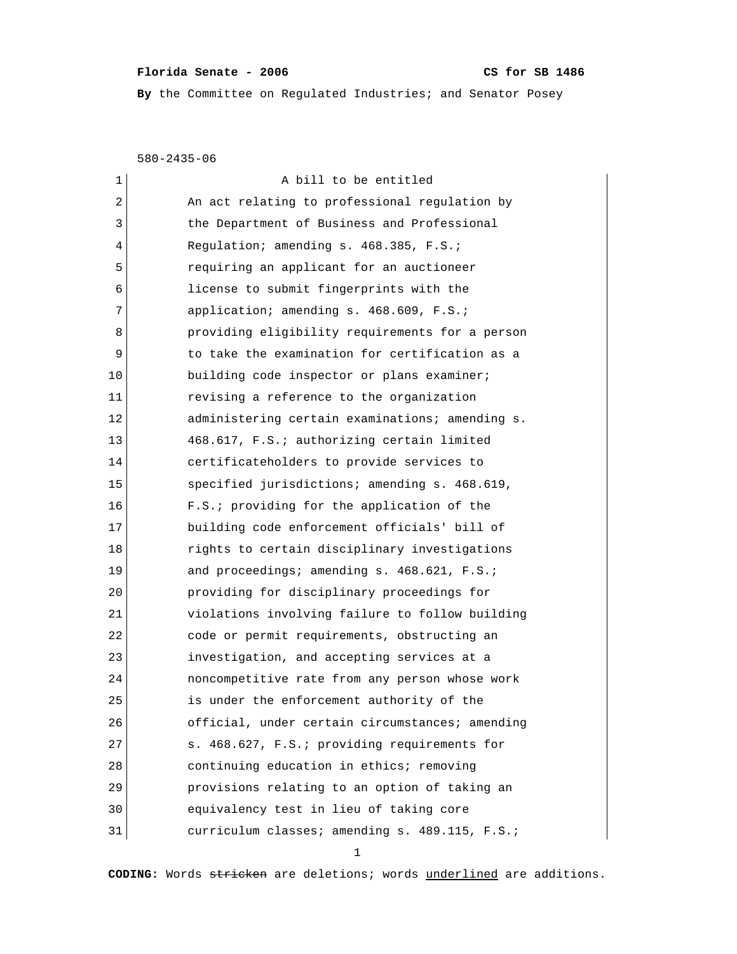## Florida Senate - 2006 CS for SB 1486

**By** the Committee on Regulated Industries; and Senator Posey

580-2435-06

| 1  | A bill to be entitled                           |
|----|-------------------------------------------------|
| 2  | An act relating to professional regulation by   |
| 3  | the Department of Business and Professional     |
| 4  | Regulation; amending s. 468.385, F.S.;          |
| 5  | requiring an applicant for an auctioneer        |
| 6  | license to submit fingerprints with the         |
| 7  | application; amending s. 468.609, F.S.;         |
| 8  | providing eligibility requirements for a person |
| 9  | to take the examination for certification as a  |
| 10 | building code inspector or plans examiner;      |
| 11 | revising a reference to the organization        |
| 12 | administering certain examinations; amending s. |
| 13 | 468.617, F.S.; authorizing certain limited      |
| 14 | certificateholders to provide services to       |
| 15 | specified jurisdictions; amending s. 468.619,   |
| 16 | F.S.; providing for the application of the      |
| 17 | building code enforcement officials' bill of    |
| 18 | rights to certain disciplinary investigations   |
| 19 | and proceedings; amending s. 468.621, F.S.;     |
| 20 | providing for disciplinary proceedings for      |
| 21 | violations involving failure to follow building |
| 22 | code or permit requirements, obstructing an     |
| 23 | investigation, and accepting services at a      |
| 24 | noncompetitive rate from any person whose work  |
| 25 | is under the enforcement authority of the       |
| 26 | official, under certain circumstances; amending |
| 27 | s. 468.627, F.S.; providing requirements for    |
| 28 | continuing education in ethics; removing        |
| 29 | provisions relating to an option of taking an   |
| 30 | equivalency test in lieu of taking core         |
| 31 | curriculum classes; amending s. 489.115, F.S.;  |

1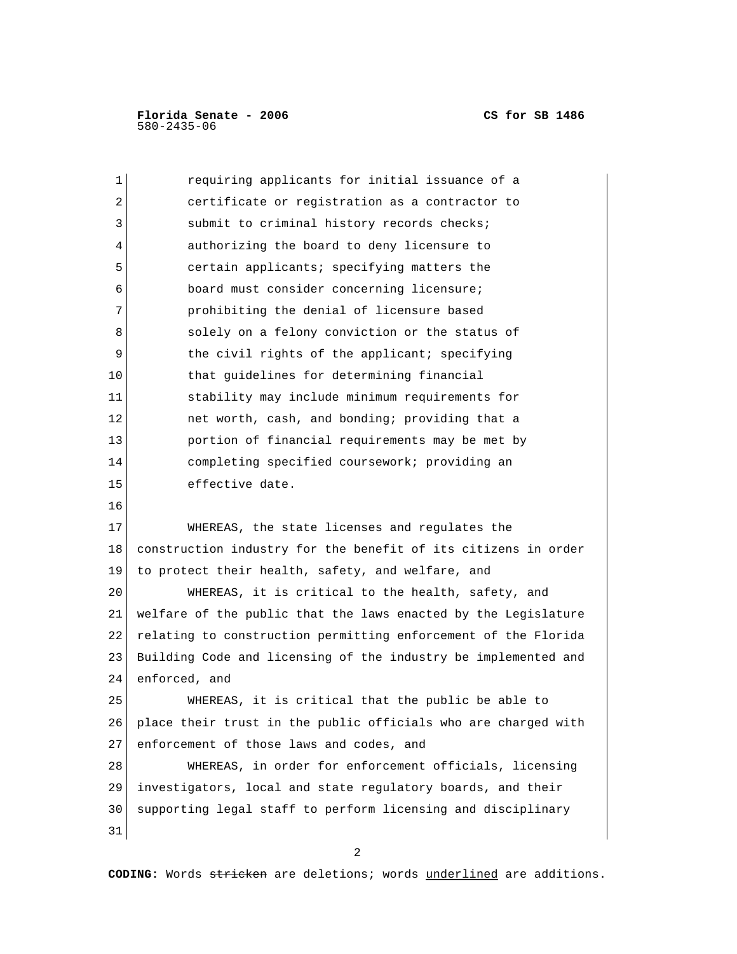| 1  | requiring applicants for initial issuance of a                 |
|----|----------------------------------------------------------------|
| 2  | certificate or registration as a contractor to                 |
| 3  | submit to criminal history records checks;                     |
| 4  | authorizing the board to deny licensure to                     |
| 5  | certain applicants; specifying matters the                     |
| 6  | board must consider concerning licensure;                      |
| 7  | prohibiting the denial of licensure based                      |
| 8  | solely on a felony conviction or the status of                 |
| 9  | the civil rights of the applicant; specifying                  |
| 10 | that guidelines for determining financial                      |
| 11 | stability may include minimum requirements for                 |
| 12 | net worth, cash, and bonding; providing that a                 |
| 13 | portion of financial requirements may be met by                |
| 14 | completing specified coursework; providing an                  |
| 15 | effective date.                                                |
| 16 |                                                                |
| 17 | WHEREAS, the state licenses and regulates the                  |
| 18 | construction industry for the benefit of its citizens in order |
| 19 | to protect their health, safety, and welfare, and              |
| 20 | WHEREAS, it is critical to the health, safety, and             |
| 21 | welfare of the public that the laws enacted by the Legislature |
| 22 | relating to construction permitting enforcement of the Florida |
| 23 | Building Code and licensing of the industry be implemented and |
| 24 | enforced, and                                                  |
| 25 | WHEREAS, it is critical that the public be able to             |
| 26 | place their trust in the public officials who are charged with |
| 27 | enforcement of those laws and codes, and                       |
| 28 | WHEREAS, in order for enforcement officials, licensing         |
| 29 | investigators, local and state regulatory boards, and their    |
| 30 | supporting legal staff to perform licensing and disciplinary   |
| 31 |                                                                |

2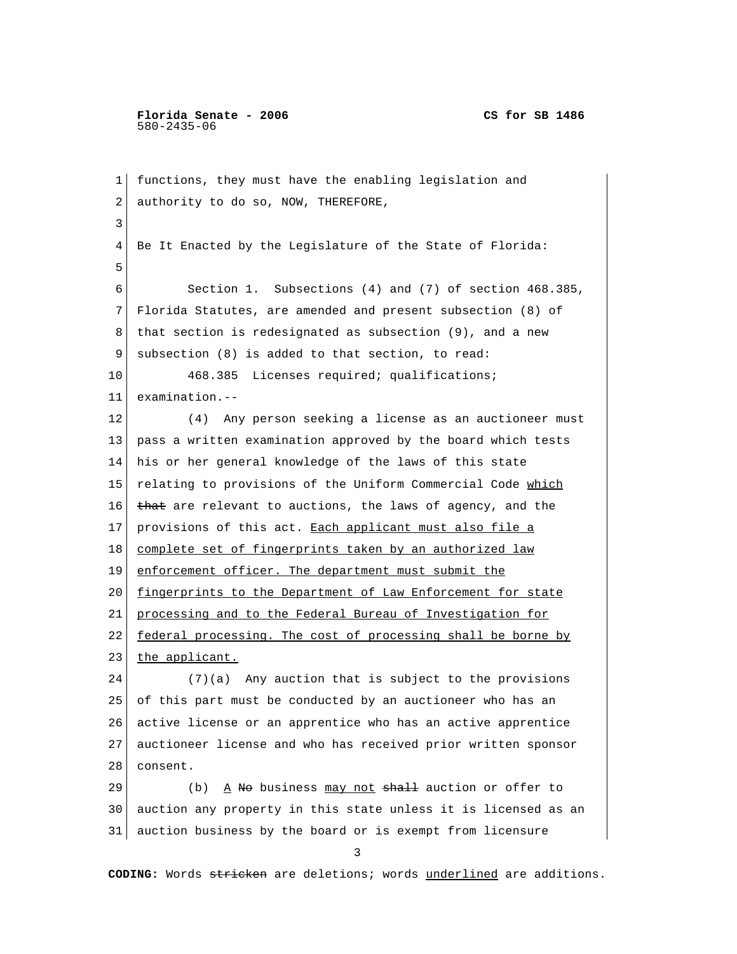**Florida Senate - 2006 CS for SB 1486** 580-2435-06

 1 functions, they must have the enabling legislation and 2 authority to do so, NOW, THEREFORE, 3 4 Be It Enacted by the Legislature of the State of Florida: 5 6 Section 1. Subsections (4) and (7) of section 468.385, 7 Florida Statutes, are amended and present subsection (8) of 8 that section is redesignated as subsection (9), and a new 9 subsection (8) is added to that section, to read: 10 468.385 Licenses required; qualifications; 11 examination.-- 12 (4) Any person seeking a license as an auctioneer must 13 pass a written examination approved by the board which tests 14 his or her general knowledge of the laws of this state 15 relating to provisions of the Uniform Commercial Code which 16  $t$  that are relevant to auctions, the laws of agency, and the 17 provisions of this act. Each applicant must also file a 18 complete set of fingerprints taken by an authorized law 19 enforcement officer. The department must submit the 20 fingerprints to the Department of Law Enforcement for state 21 processing and to the Federal Bureau of Investigation for 22 federal processing. The cost of processing shall be borne by 23 the applicant. 24 (7)(a) Any auction that is subject to the provisions 25 of this part must be conducted by an auctioneer who has an 26 active license or an apprentice who has an active apprentice 27 auctioneer license and who has received prior written sponsor 28 consent. 29 (b)  $\frac{A}{A}$  No business may not shall auction or offer to 30 auction any property in this state unless it is licensed as an 31 auction business by the board or is exempt from licensure 3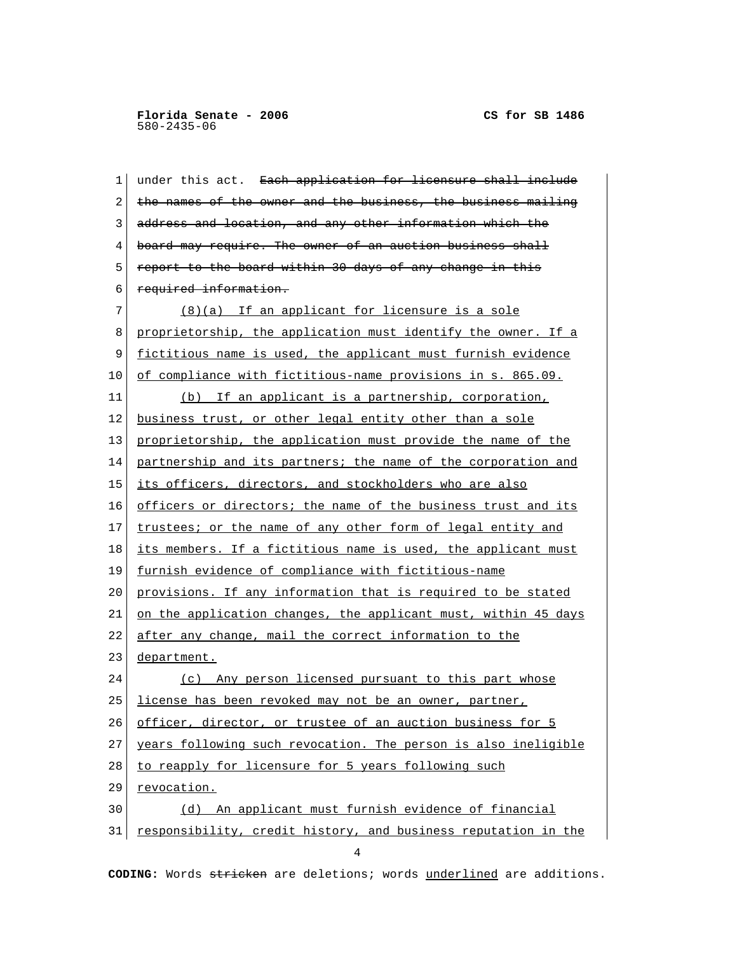| 1  | under this act. Each application for licensure shall include   |
|----|----------------------------------------------------------------|
| 2  | the names of the owner and the business, the business mailing  |
| 3  | address and location, and any other information which the      |
| 4  | board may require. The owner of an auction business shall      |
| 5  | report to the board within 30 days of any change in this       |
| 6  | required information.                                          |
| 7  | (8)(a) If an applicant for licensure is a sole                 |
| 8  | proprietorship, the application must identify the owner. If a  |
| 9  | fictitious name is used, the applicant must furnish evidence   |
| 10 | of compliance with fictitious-name provisions in s. 865.09.    |
| 11 | (b) If an applicant is a partnership, corporation,             |
| 12 | business trust, or other legal entity other than a sole        |
| 13 | proprietorship, the application must provide the name of the   |
| 14 | partnership and its partners; the name of the corporation and  |
| 15 | its officers, directors, and stockholders who are also         |
| 16 | officers or directors; the name of the business trust and its  |
| 17 | trustees; or the name of any other form of legal entity and    |
| 18 | its members. If a fictitious name is used, the applicant must  |
| 19 | furnish evidence of compliance with fictitious-name            |
| 20 | provisions. If any information that is required to be stated   |
| 21 | on the application changes, the applicant must, within 45 days |
| 22 | after any change, mail the correct information to the          |
| 23 | department.                                                    |
| 24 | (c) Any person licensed pursuant to this part whose            |
| 25 | license has been revoked may not be an owner, partner,         |
| 26 | officer, director, or trustee of an auction business for 5     |
| 27 | years following such revocation. The person is also ineligible |
| 28 | to reapply for licensure for 5 years following such            |
| 29 | revocation.                                                    |
| 30 | (d) An applicant must furnish evidence of financial            |
| 31 | responsibility, credit history, and business reputation in the |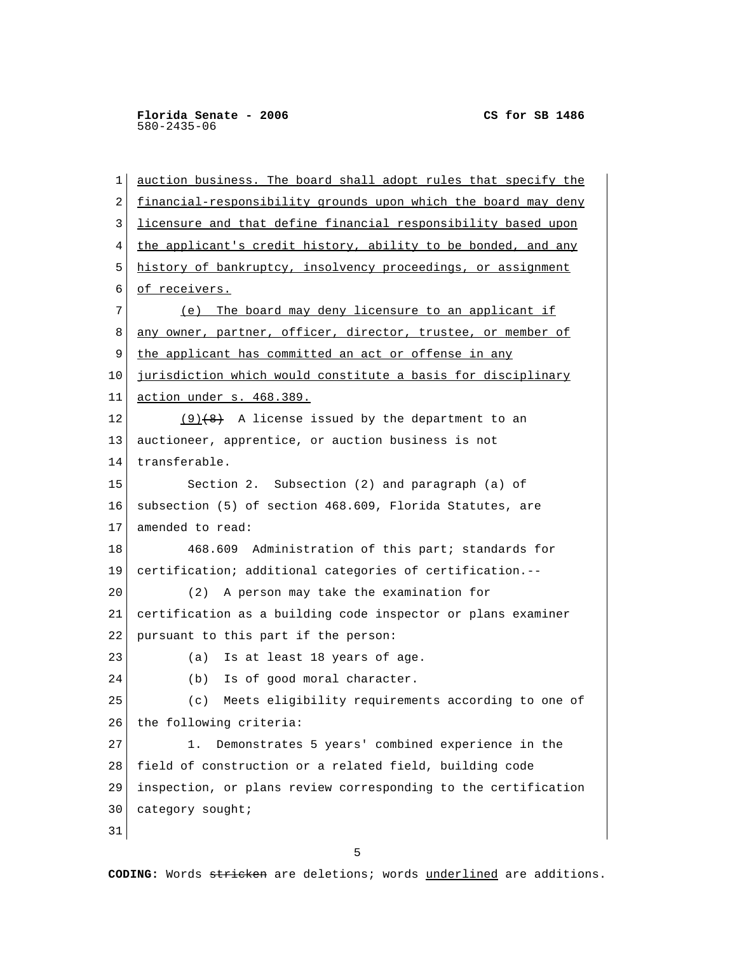1 auction business. The board shall adopt rules that specify the 2 financial-responsibility grounds upon which the board may deny 3 licensure and that define financial responsibility based upon 4 the applicant's credit history, ability to be bonded, and any 5 history of bankruptcy, insolvency proceedings, or assignment 6 of receivers. 7 (e) The board may deny licensure to an applicant if 8 any owner, partner, officer, director, trustee, or member of 9 the applicant has committed an act or offense in any 10 jurisdiction which would constitute a basis for disciplinary 11 action under s. 468.389. 12 (9) $(8)$  A license issued by the department to an 13 auctioneer, apprentice, or auction business is not 14 transferable. 15 Section 2. Subsection (2) and paragraph (a) of 16 subsection (5) of section 468.609, Florida Statutes, are 17 amended to read: 18 468.609 Administration of this part; standards for 19 certification; additional categories of certification.-- 20 (2) A person may take the examination for 21 certification as a building code inspector or plans examiner 22 pursuant to this part if the person: 23 (a) Is at least 18 years of age. 24 (b) Is of good moral character. 25 (c) Meets eligibility requirements according to one of 26 the following criteria: 27 1. Demonstrates 5 years' combined experience in the 28 field of construction or a related field, building code 29 inspection, or plans review corresponding to the certification 30 category sought; 31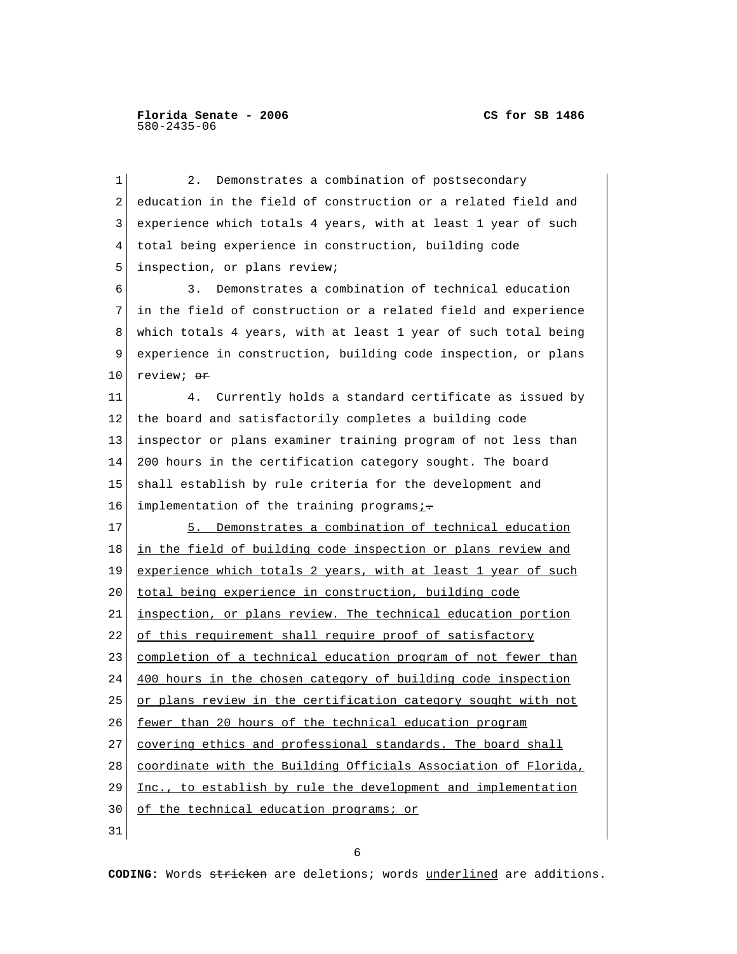1 2. Demonstrates a combination of postsecondary 2 education in the field of construction or a related field and 3 experience which totals 4 years, with at least 1 year of such 4 total being experience in construction, building code 5 inspection, or plans review; 6 3. Demonstrates a combination of technical education 7 in the field of construction or a related field and experience 8 which totals 4 years, with at least 1 year of such total being 9 experience in construction, building code inspection, or plans 10 review;  $\Theta$ r 11 4. Currently holds a standard certificate as issued by 12 the board and satisfactorily completes a building code 13 inspector or plans examiner training program of not less than 14 200 hours in the certification category sought. The board 15 shall establish by rule criteria for the development and 16 implementation of the training programsi-17 5. Demonstrates a combination of technical education 18 in the field of building code inspection or plans review and 19 experience which totals 2 years, with at least 1 year of such 20 total being experience in construction, building code 21 inspection, or plans review. The technical education portion 22 of this requirement shall require proof of satisfactory 23 completion of a technical education program of not fewer than 24 400 hours in the chosen category of building code inspection 25 or plans review in the certification category sought with not 26 fewer than 20 hours of the technical education program 27 covering ethics and professional standards. The board shall 28 coordinate with the Building Officials Association of Florida, 29 Inc., to establish by rule the development and implementation 30 of the technical education programs; or 31

 $\sim$  6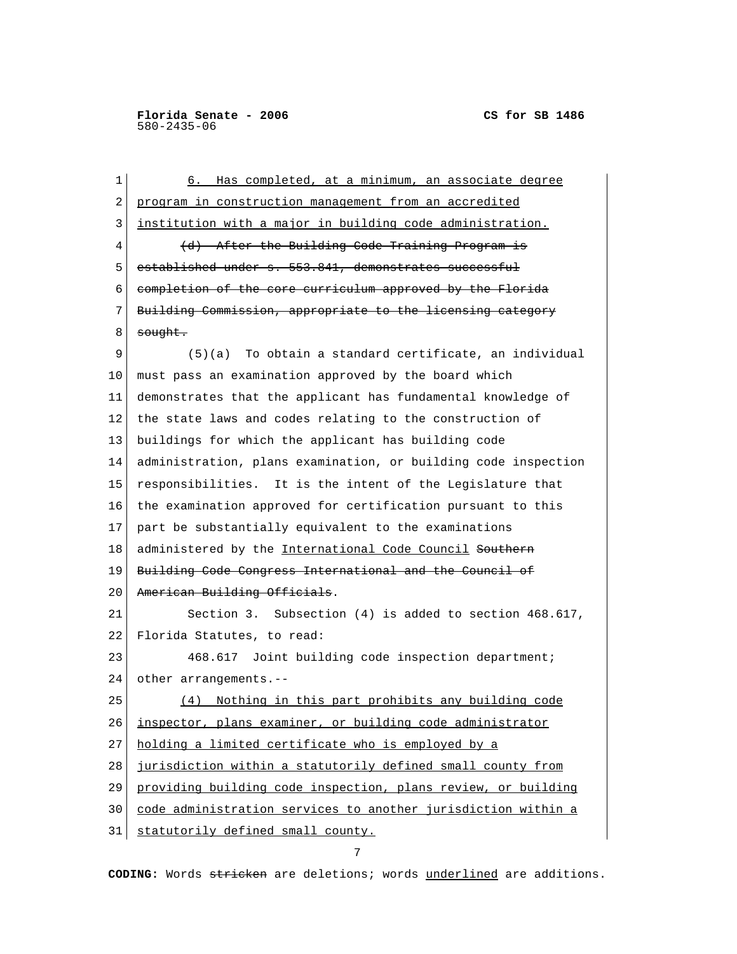| 1  | Has completed, at a minimum, an associate degree<br>6.         |
|----|----------------------------------------------------------------|
| 2  | program in construction management from an accredited          |
| 3  | institution with a major in building code administration.      |
| 4  | (d) After the Building Code Training Program is                |
| 5  | established under s. 553.841, demonstrates successful          |
| 6  | completion of the core curriculum approved by the Florida      |
| 7  | Building Commission, appropriate to the licensing category     |
| 8  | <del>sought.</del>                                             |
| 9  | $(5)(a)$ To obtain a standard certificate, an individual       |
| 10 | must pass an examination approved by the board which           |
| 11 | demonstrates that the applicant has fundamental knowledge of   |
| 12 | the state laws and codes relating to the construction of       |
| 13 | buildings for which the applicant has building code            |
| 14 | administration, plans examination, or building code inspection |
| 15 | responsibilities. It is the intent of the Legislature that     |
| 16 | the examination approved for certification pursuant to this    |
| 17 | part be substantially equivalent to the examinations           |
| 18 | administered by the International Code Council Southern        |
| 19 | <u>Building Code Congress International and the Council of</u> |
| 20 | American Building Officials.                                   |
| 21 | Section 3. Subsection (4) is added to section 468.617,         |
| 22 | Florida Statutes, to read:                                     |
| 23 | 468.617 Joint building code inspection department;             |
| 24 | other arrangements.--                                          |
| 25 | (4) Nothing in this part prohibits any building code           |
| 26 | inspector, plans examiner, or building code administrator      |
| 27 | holding a limited certificate who is employed by a             |
| 28 | jurisdiction within a statutorily defined small county from    |
| 29 | providing building code inspection, plans review, or building  |
| 30 | code administration services to another jurisdiction within a  |
| 31 | statutorily defined small county.                              |

7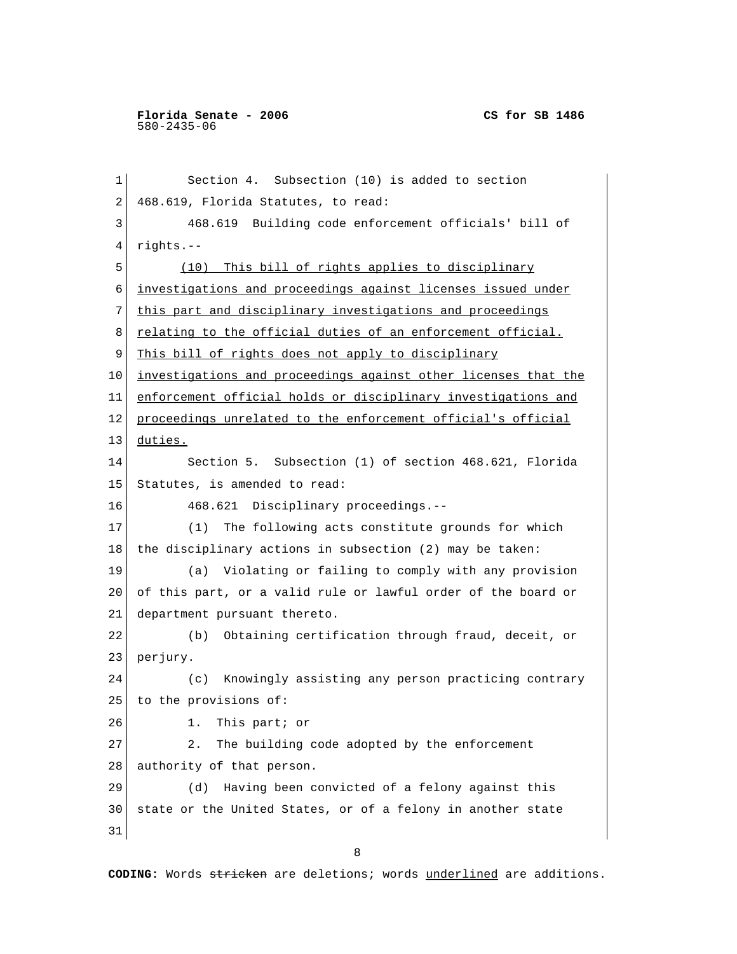1 Section 4. Subsection (10) is added to section 2 468.619, Florida Statutes, to read: 3 468.619 Building code enforcement officials' bill of 4 rights.-- 5 (10) This bill of rights applies to disciplinary 6 investigations and proceedings against licenses issued under 7 this part and disciplinary investigations and proceedings 8 <u>relating to the official duties of an enforcement official.</u> 9 This bill of rights does not apply to disciplinary 10 investigations and proceedings against other licenses that the 11 enforcement official holds or disciplinary investigations and 12 proceedings unrelated to the enforcement official's official 13 duties. 14 Section 5. Subsection (1) of section 468.621, Florida 15 Statutes, is amended to read: 16 468.621 Disciplinary proceedings.-- 17 (1) The following acts constitute grounds for which 18 the disciplinary actions in subsection (2) may be taken: 19 (a) Violating or failing to comply with any provision 20 of this part, or a valid rule or lawful order of the board or 21 department pursuant thereto. 22 (b) Obtaining certification through fraud, deceit, or 23 perjury. 24 (c) Knowingly assisting any person practicing contrary 25 to the provisions of: 26 1. This part; or 27 2. The building code adopted by the enforcement 28 authority of that person. 29 (d) Having been convicted of a felony against this 30 state or the United States, or of a felony in another state 31 8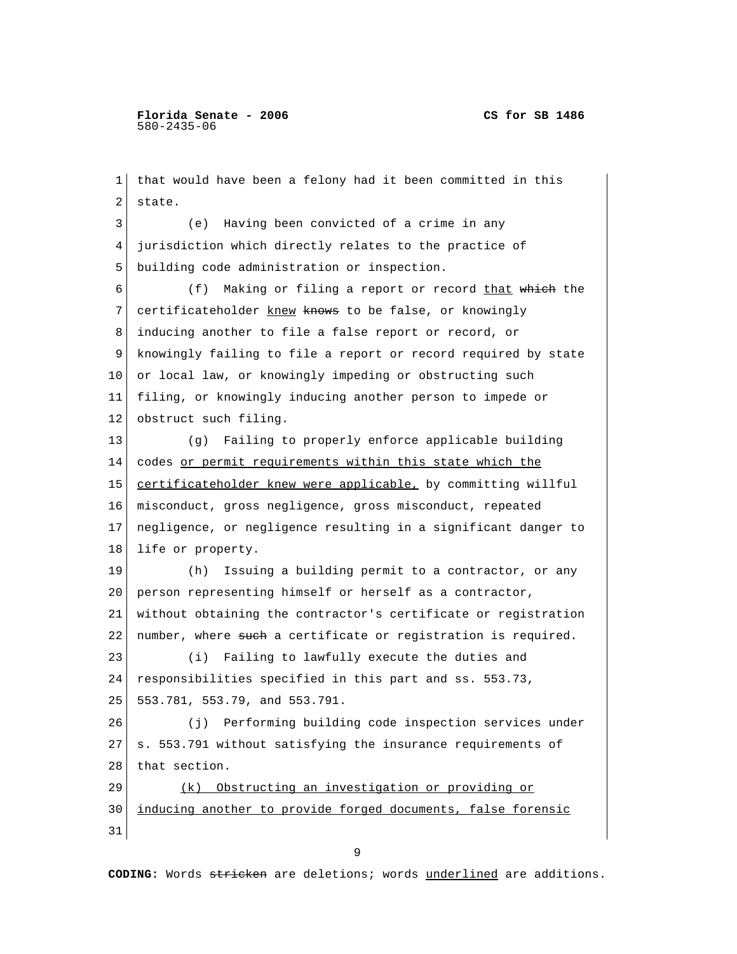1 that would have been a felony had it been committed in this 2 state. 3 (e) Having been convicted of a crime in any 4 jurisdiction which directly relates to the practice of 5 building code administration or inspection. 6 (f) Making or filing a report or record that which the 7 certificateholder knew knows to be false, or knowingly 8 inducing another to file a false report or record, or 9 knowingly failing to file a report or record required by state 10 or local law, or knowingly impeding or obstructing such 11 filing, or knowingly inducing another person to impede or 12 obstruct such filing. 13 (g) Failing to properly enforce applicable building 14 codes or permit requirements within this state which the 15 certificateholder knew were applicable, by committing willful 16 misconduct, gross negligence, gross misconduct, repeated 17 negligence, or negligence resulting in a significant danger to 18 life or property. 19 (h) Issuing a building permit to a contractor, or any 20 person representing himself or herself as a contractor, 21 without obtaining the contractor's certificate or registration 22 number, where such a certificate or registration is required. 23 (i) Failing to lawfully execute the duties and 24 responsibilities specified in this part and ss. 553.73, 25 553.781, 553.79, and 553.791. 26 (j) Performing building code inspection services under  $27$  s. 553.791 without satisfying the insurance requirements of 28 that section. 29 (k) Obstructing an investigation or providing or 30 inducing another to provide forged documents, false forensic 31

9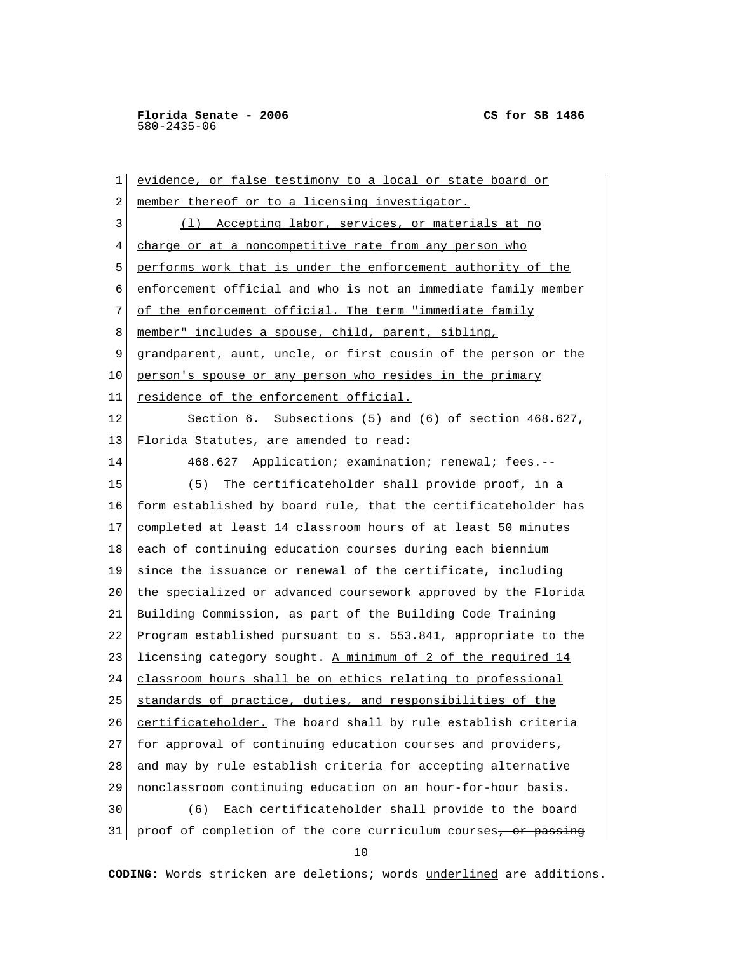1 evidence, or false testimony to a local or state board or 2 member thereof or to a licensing investigator. 3 (1) Accepting labor, services, or materials at no 4 charge or at a noncompetitive rate from any person who 5 performs work that is under the enforcement authority of the 6 enforcement official and who is not an immediate family member 7 of the enforcement official. The term "immediate family 8 member" includes a spouse, child, parent, sibling, 9 grandparent, aunt, uncle, or first cousin of the person or the 10 person's spouse or any person who resides in the primary 11 residence of the enforcement official. 12 Section 6. Subsections (5) and (6) of section 468.627, 13 Florida Statutes, are amended to read: 14 468.627 Application; examination; renewal; fees.-- 15 (5) The certificateholder shall provide proof, in a 16 form established by board rule, that the certificateholder has 17 completed at least 14 classroom hours of at least 50 minutes 18 each of continuing education courses during each biennium 19 since the issuance or renewal of the certificate, including 20 the specialized or advanced coursework approved by the Florida 21 Building Commission, as part of the Building Code Training 22 Program established pursuant to s. 553.841, appropriate to the 23 licensing category sought. A minimum of 2 of the required  $14$ 24 classroom hours shall be on ethics relating to professional 25 standards of practice, duties, and responsibilities of the 26 certificateholder. The board shall by rule establish criteria 27 for approval of continuing education courses and providers, 28 and may by rule establish criteria for accepting alternative 29 nonclassroom continuing education on an hour-for-hour basis. 30 (6) Each certificateholder shall provide to the board 31 proof of completion of the core curriculum courses, or passing

10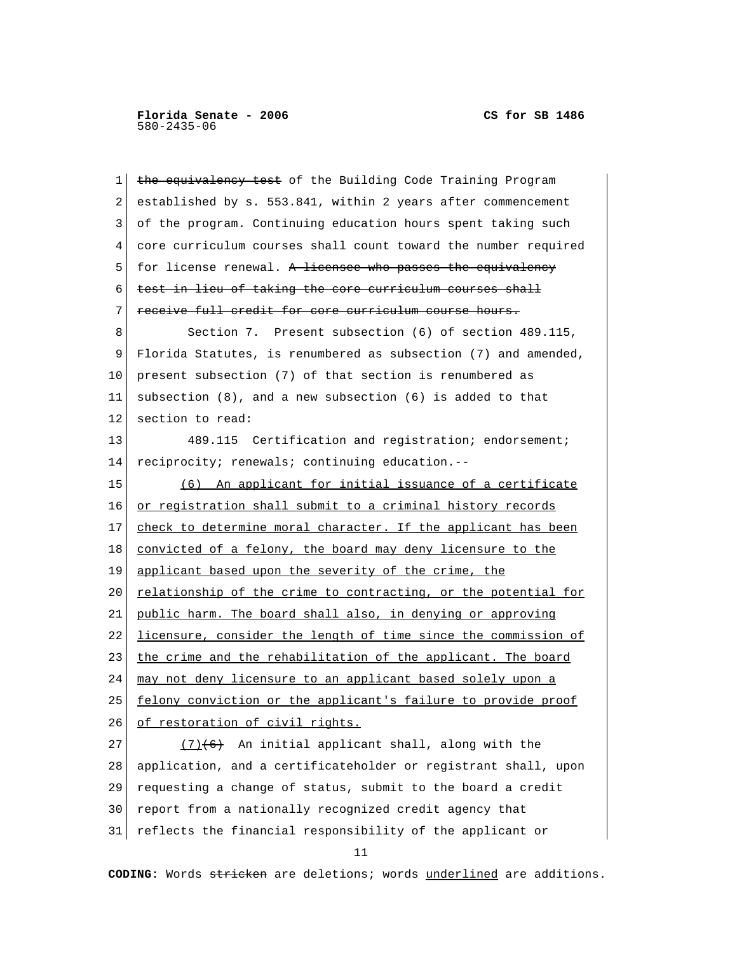1 the equivalency test of the Building Code Training Program 2 established by s. 553.841, within 2 years after commencement 3 of the program. Continuing education hours spent taking such 4 core curriculum courses shall count toward the number required 5 for license renewal. A licensee who passes the equivalency 6 test in lieu of taking the core curriculum courses shall 7 receive full credit for core curriculum course hours. 8 Section 7. Present subsection (6) of section 489.115, 9 Florida Statutes, is renumbered as subsection (7) and amended, 10 present subsection (7) of that section is renumbered as 11 subsection (8), and a new subsection (6) is added to that 12 section to read: 13 489.115 Certification and registration; endorsement; 14 reciprocity; renewals; continuing education.-- 15 (6) An applicant for initial issuance of a certificate 16 or registration shall submit to a criminal history records 17 check to determine moral character. If the applicant has been 18 convicted of a felony, the board may deny licensure to the 19 applicant based upon the severity of the crime, the 20 relationship of the crime to contracting, or the potential for 21 public harm. The board shall also, in denying or approving 22 licensure, consider the length of time since the commission of 23 the crime and the rehabilitation of the applicant. The board 24 may not deny licensure to an applicant based solely upon a 25 felony conviction or the applicant's failure to provide proof 26 of restoration of civil rights.  $27$  (7)<del>(6)</del> An initial applicant shall, along with the 28 application, and a certificateholder or registrant shall, upon 29 requesting a change of status, submit to the board a credit 30 report from a nationally recognized credit agency that 31 reflects the financial responsibility of the applicant or  $11$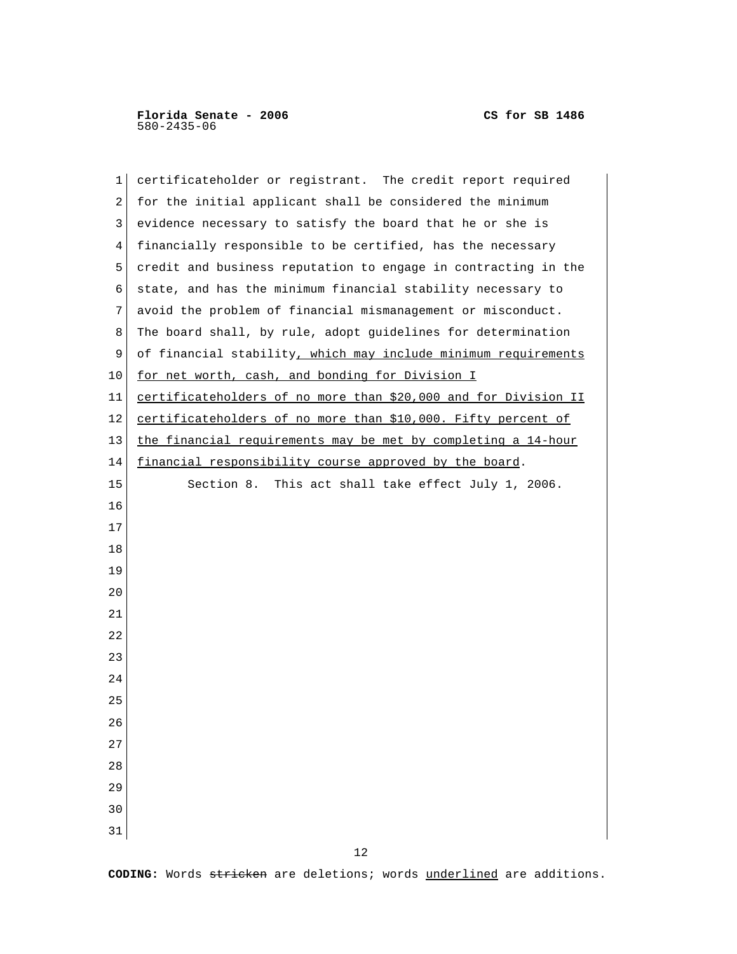| 1              | certificateholder or registrant. The credit report required     |
|----------------|-----------------------------------------------------------------|
| 2              | for the initial applicant shall be considered the minimum       |
| 3              | evidence necessary to satisfy the board that he or she is       |
| $\overline{4}$ | financially responsible to be certified, has the necessary      |
| 5              | credit and business reputation to engage in contracting in the  |
| 6              | state, and has the minimum financial stability necessary to     |
| 7              | avoid the problem of financial mismanagement or misconduct.     |
| 8              | The board shall, by rule, adopt guidelines for determination    |
| 9              | of financial stability, which may include minimum requirements  |
| 10             | for net worth, cash, and bonding for Division I                 |
| 11             | certificateholders of no more than \$20,000 and for Division II |
| 12             | certificateholders of no more than \$10,000. Fifty percent of   |
| 13             | the financial requirements may be met by completing a 14-hour   |
| 14             | financial responsibility course approved by the board.          |
| 15             | Section 8. This act shall take effect July 1, 2006.             |
| 16             |                                                                 |
| 17             |                                                                 |
| 18             |                                                                 |
| 19             |                                                                 |
| 20             |                                                                 |
| 21             |                                                                 |
| 22             |                                                                 |
| 23             |                                                                 |
| 24             |                                                                 |
| 25             |                                                                 |
| 26             |                                                                 |
| 27             |                                                                 |
| 28             |                                                                 |
| 29             |                                                                 |
| 30             |                                                                 |
| 31             |                                                                 |